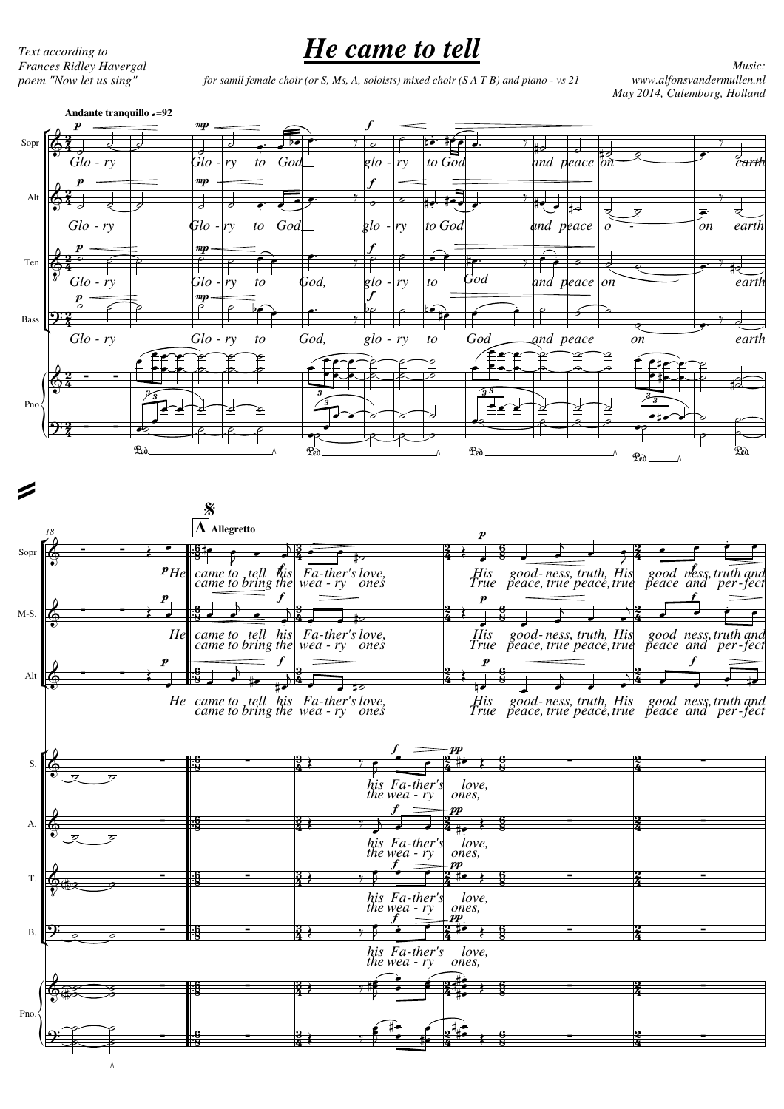*Frances Ridley Havergal poem "Now let us sing"*

## *Text according to He came to tell*

*for samll female choir (or S, Ms, A, soloists) mixed choir (S A T B) and piano - vs 21*

*Music: www.alfonsvandermullen.nl May 2014, Culemborg, Holland*

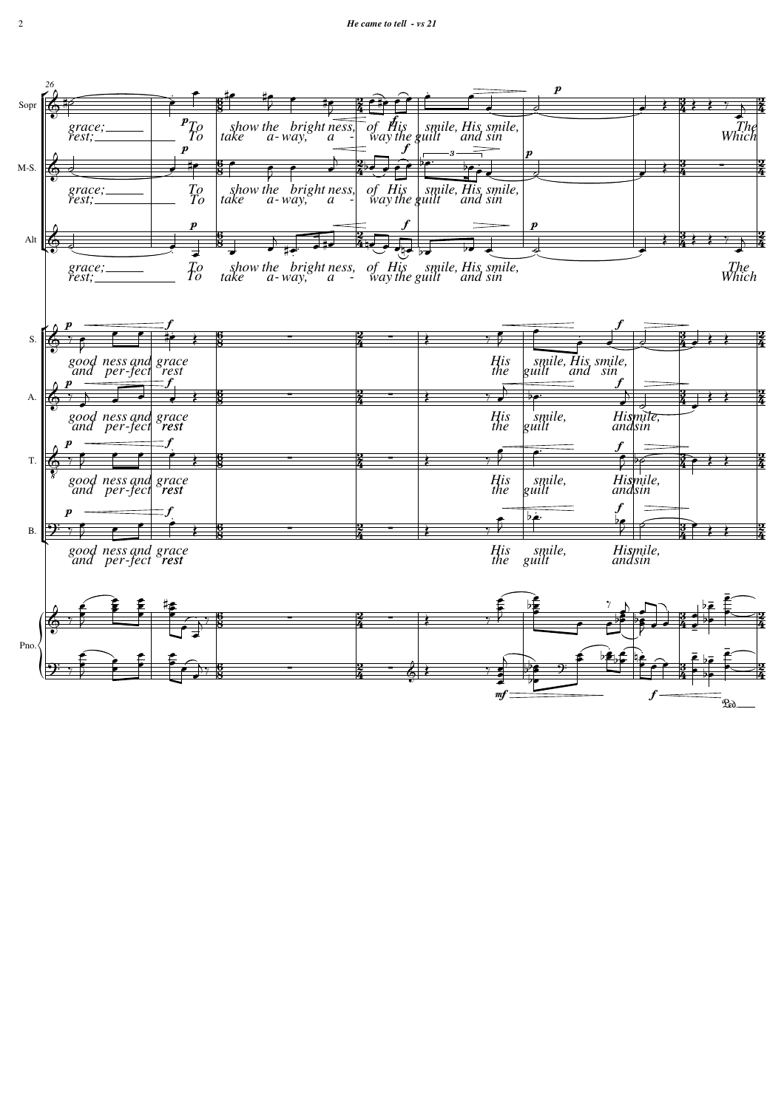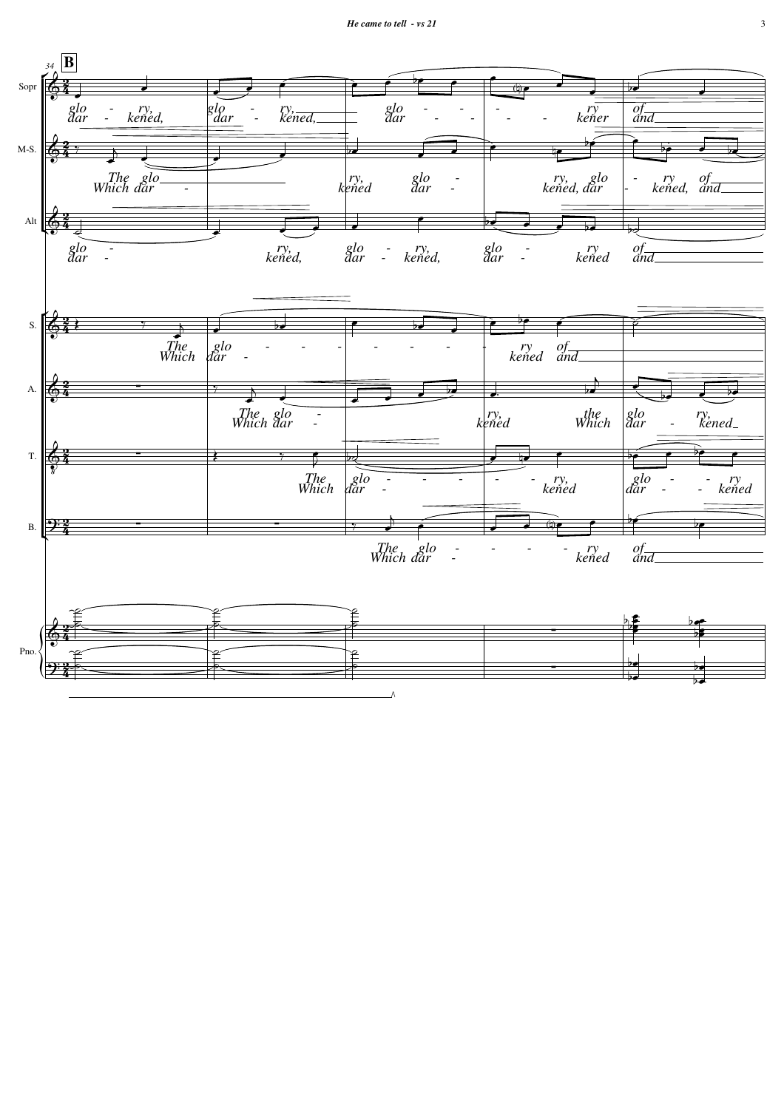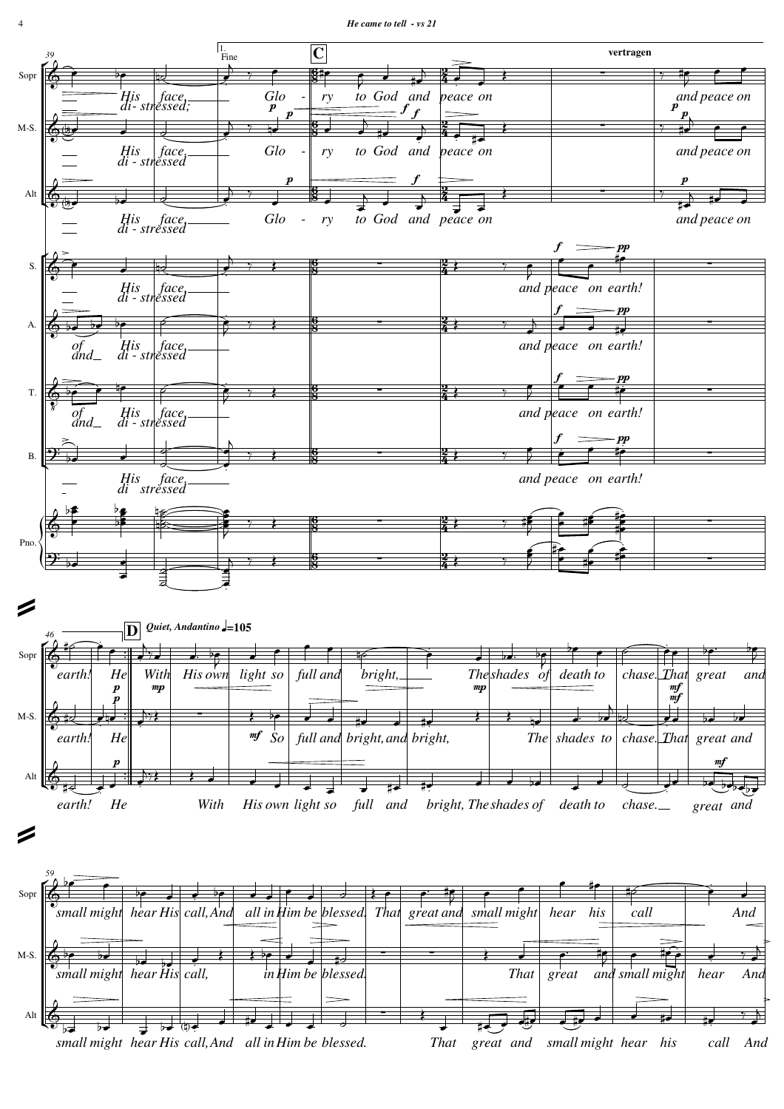4 *He came to tell - vs 21*



*small might hear His call,And all inHim be blessed. That great and small might hear his call And*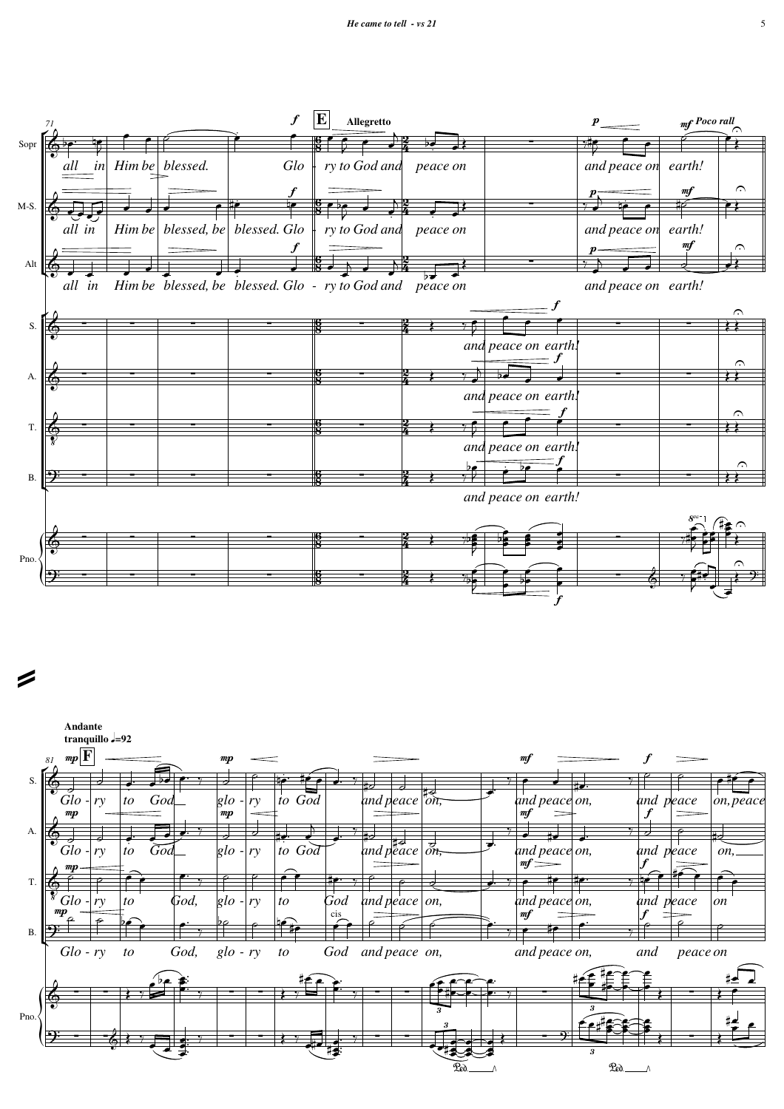



Ø